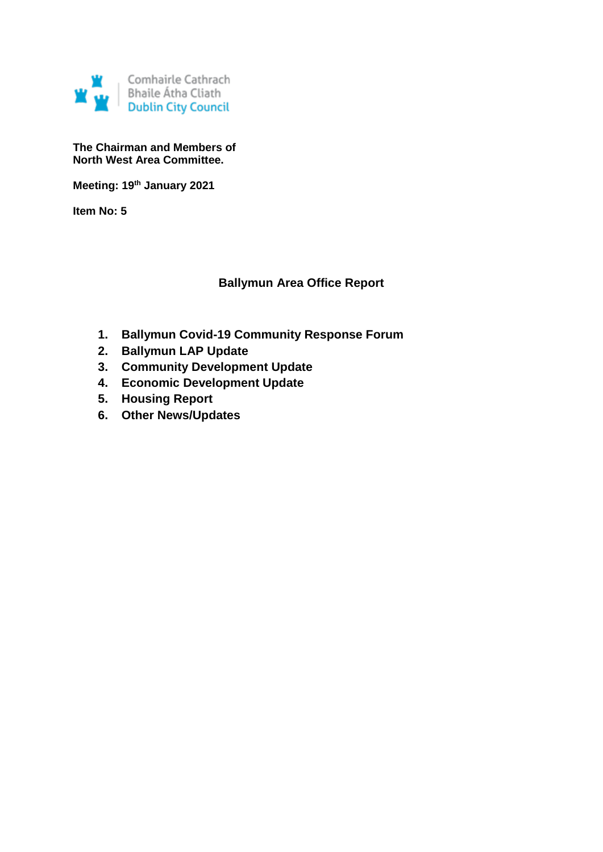

**The Chairman and Members of North West Area Committee.**

**Meeting: 19th January 2021**

**Item No: 5**

## **Ballymun Area Office Report**

- **1. Ballymun Covid-19 Community Response Forum**
- **2. Ballymun LAP Update**
- **3. Community Development Update**
- **4. Economic Development Update**
- **5. Housing Report**
- **6. Other News/Updates**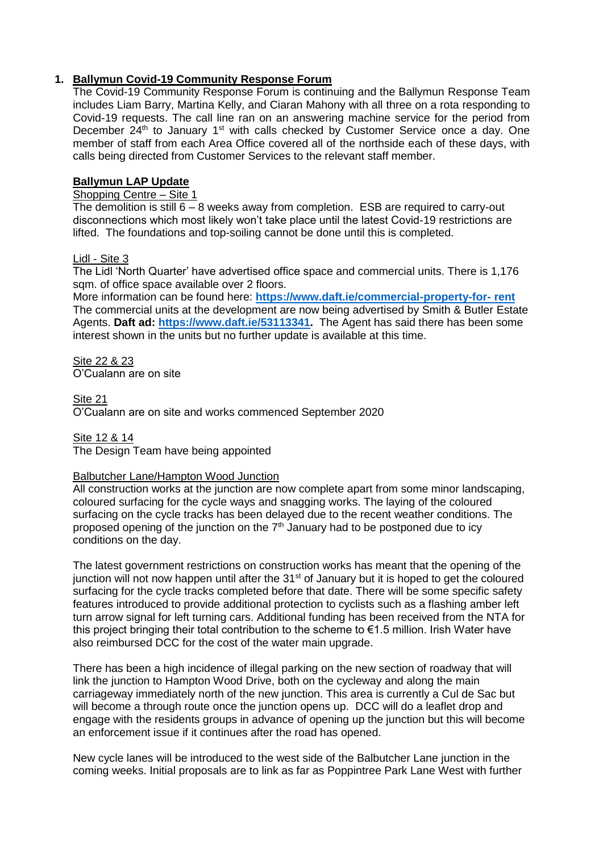## **1. Ballymun Covid-19 Community Response Forum**

The Covid-19 Community Response Forum is continuing and the Ballymun Response Team includes Liam Barry, Martina Kelly, and Ciaran Mahony with all three on a rota responding to Covid-19 requests. The call line ran on an answering machine service for the period from December 24<sup>th</sup> to January 1<sup>st</sup> with calls checked by Customer Service once a day. One member of staff from each Area Office covered all of the northside each of these days, with calls being directed from Customer Services to the relevant staff member.

## **Ballymun LAP Update**

## Shopping Centre – Site 1

The demolition is still  $6 - 8$  weeks away from completion. ESB are required to carry-out disconnections which most likely won't take place until the latest Covid-19 restrictions are lifted. The foundations and top-soiling cannot be done until this is completed.

### Lidl - Site 3

The Lidl 'North Quarter' have advertised office space and commercial units. There is 1,176 sqm. of office space available over 2 floors.

More information can be found here: **[https://www.daft.ie/commercial-property-for-](https://www.daft.ie/commercial-property-for-%20rent) rent** The commercial units at the development are now being advertised by Smith & Butler Estate Agents. **Daft ad: [https://www.daft.ie/53113341.](https://www.daft.ie/53113341)** The Agent has said there has been some interest shown in the units but no further update is available at this time.

Site 22 & 23 O'Cualann are on site

Site 21 O'Cualann are on site and works commenced September 2020

Site 12 & 14 The Design Team have being appointed

## Balbutcher Lane/Hampton Wood Junction

All construction works at the junction are now complete apart from some minor landscaping, coloured surfacing for the cycle ways and snagging works. The laying of the coloured surfacing on the cycle tracks has been delayed due to the recent weather conditions. The proposed opening of the junction on the  $7<sup>th</sup>$  January had to be postponed due to icy conditions on the day.

The latest government restrictions on construction works has meant that the opening of the junction will not now happen until after the  $31<sup>st</sup>$  of January but it is hoped to get the coloured surfacing for the cycle tracks completed before that date. There will be some specific safety features introduced to provide additional protection to cyclists such as a flashing amber left turn arrow signal for left turning cars. Additional funding has been received from the NTA for this project bringing their total contribution to the scheme to €1.5 million. Irish Water have also reimbursed DCC for the cost of the water main upgrade.

There has been a high incidence of illegal parking on the new section of roadway that will link the junction to Hampton Wood Drive, both on the cycleway and along the main carriageway immediately north of the new junction. This area is currently a Cul de Sac but will become a through route once the junction opens up. DCC will do a leaflet drop and engage with the residents groups in advance of opening up the junction but this will become an enforcement issue if it continues after the road has opened.

New cycle lanes will be introduced to the west side of the Balbutcher Lane junction in the coming weeks. Initial proposals are to link as far as Poppintree Park Lane West with further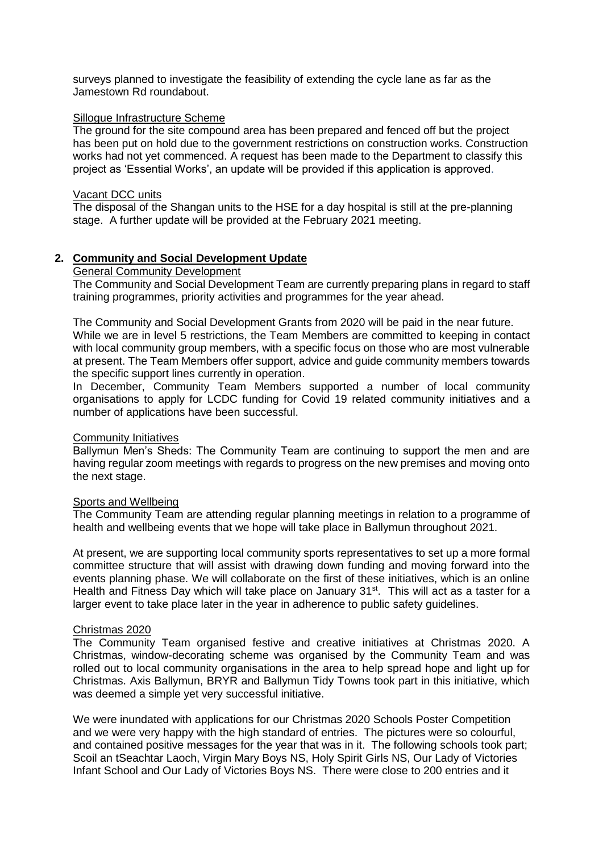surveys planned to investigate the feasibility of extending the cycle lane as far as the Jamestown Rd roundabout.

#### Sillogue Infrastructure Scheme

The ground for the site compound area has been prepared and fenced off but the project has been put on hold due to the government restrictions on construction works. Construction works had not yet commenced. A request has been made to the Department to classify this project as 'Essential Works', an update will be provided if this application is approved.

#### Vacant DCC units

The disposal of the Shangan units to the HSE for a day hospital is still at the pre-planning stage. A further update will be provided at the February 2021 meeting.

#### **2. Community and Social Development Update**

#### General Community Development

The Community and Social Development Team are currently preparing plans in regard to staff training programmes, priority activities and programmes for the year ahead.

The Community and Social Development Grants from 2020 will be paid in the near future. While we are in level 5 restrictions, the Team Members are committed to keeping in contact with local community group members, with a specific focus on those who are most vulnerable at present. The Team Members offer support, advice and guide community members towards the specific support lines currently in operation.

In December, Community Team Members supported a number of local community organisations to apply for LCDC funding for Covid 19 related community initiatives and a number of applications have been successful.

### Community Initiatives

Ballymun Men's Sheds: The Community Team are continuing to support the men and are having regular zoom meetings with regards to progress on the new premises and moving onto the next stage.

#### Sports and Wellbeing

The Community Team are attending regular planning meetings in relation to a programme of health and wellbeing events that we hope will take place in Ballymun throughout 2021.

At present, we are supporting local community sports representatives to set up a more formal committee structure that will assist with drawing down funding and moving forward into the events planning phase. We will collaborate on the first of these initiatives, which is an online Health and Fitness Day which will take place on January 31<sup>st</sup>. This will act as a taster for a larger event to take place later in the year in adherence to public safety guidelines.

#### Christmas 2020

The Community Team organised festive and creative initiatives at Christmas 2020. A Christmas, window-decorating scheme was organised by the Community Team and was rolled out to local community organisations in the area to help spread hope and light up for Christmas. Axis Ballymun, BRYR and Ballymun Tidy Towns took part in this initiative, which was deemed a simple yet very successful initiative.

We were inundated with applications for our Christmas 2020 Schools Poster Competition and we were very happy with the high standard of entries. The pictures were so colourful, and contained positive messages for the year that was in it. The following schools took part; Scoil an tSeachtar Laoch, Virgin Mary Boys NS, Holy Spirit Girls NS, Our Lady of Victories Infant School and Our Lady of Victories Boys NS. There were close to 200 entries and it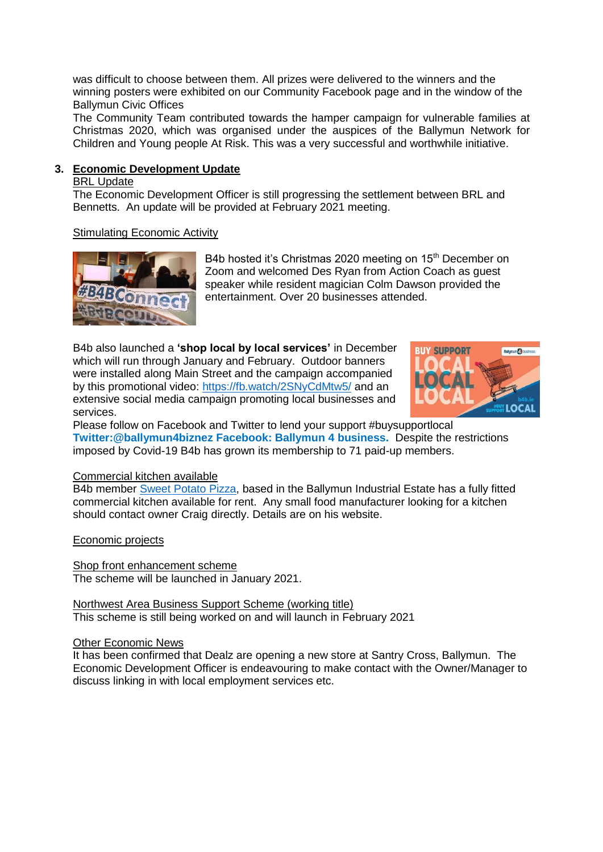was difficult to choose between them. All prizes were delivered to the winners and the winning posters were exhibited on our Community Facebook page and in the window of the Ballymun Civic Offices

The Community Team contributed towards the hamper campaign for vulnerable families at Christmas 2020, which was organised under the auspices of the Ballymun Network for Children and Young people At Risk. This was a very successful and worthwhile initiative.

## **3. Economic Development Update**

#### BRL Update

The Economic Development Officer is still progressing the settlement between BRL and Bennetts. An update will be provided at February 2021 meeting.

### Stimulating Economic Activity



B4b hosted it's Christmas 2020 meeting on 15<sup>th</sup> December on Zoom and welcomed Des Ryan from Action Coach as guest speaker while resident magician Colm Dawson provided the entertainment. Over 20 businesses attended.

B4b also launched a **'shop local by local services'** in December which will run through January and February. Outdoor banners were installed along Main Street and the campaign accompanied by this promotional video:<https://fb.watch/2SNyCdMtw5/> and an extensive social media campaign promoting local businesses and services.



Please follow on Facebook and Twitter to lend your support #buysupportlocal **Twitter:@ballymun4biznez Facebook: Ballymun 4 business.** Despite the restrictions imposed by Covid-19 B4b has grown its membership to 71 paid-up members.

#### Commercial kitchen available

B4b member [Sweet Potato Pizza,](https://www.sweetpotatopizza.ie/) based in the Ballymun Industrial Estate has a fully fitted commercial kitchen available for rent. Any small food manufacturer looking for a kitchen should contact owner Craig directly. Details are on his website.

Economic projects

Shop front enhancement scheme The scheme will be launched in January 2021.

Northwest Area Business Support Scheme (working title) This scheme is still being worked on and will launch in February 2021

#### Other Economic News

It has been confirmed that Dealz are opening a new store at Santry Cross, Ballymun. The Economic Development Officer is endeavouring to make contact with the Owner/Manager to discuss linking in with local employment services etc.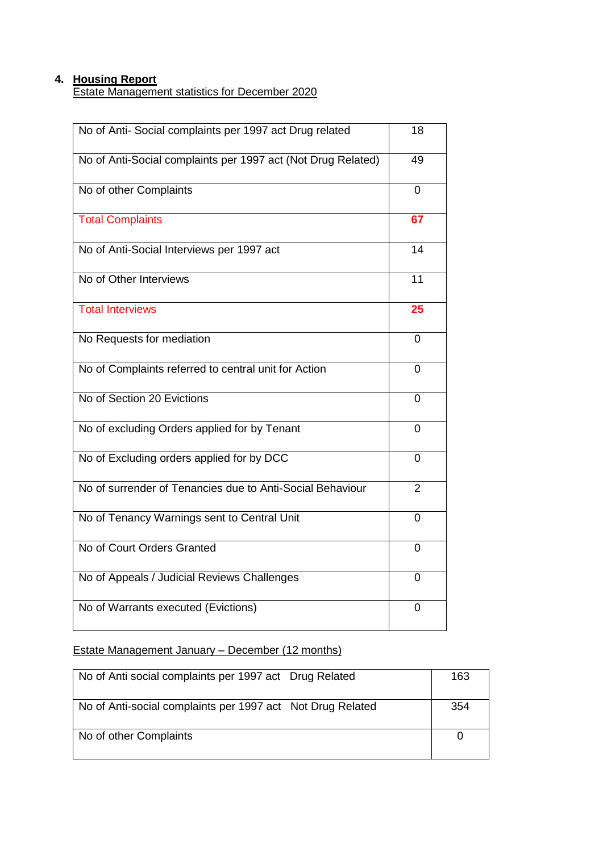## **4. Housing Report**

Estate Management statistics for December 2020

| No of Anti- Social complaints per 1997 act Drug related      | 18             |
|--------------------------------------------------------------|----------------|
| No of Anti-Social complaints per 1997 act (Not Drug Related) | 49             |
| No of other Complaints                                       | 0              |
| <b>Total Complaints</b>                                      | 67             |
| No of Anti-Social Interviews per 1997 act                    | 14             |
| No of Other Interviews                                       | 11             |
| <b>Total Interviews</b>                                      | 25             |
| No Requests for mediation                                    | 0              |
| No of Complaints referred to central unit for Action         | 0              |
| No of Section 20 Evictions                                   | 0              |
| No of excluding Orders applied for by Tenant                 | 0              |
| No of Excluding orders applied for by DCC                    | 0              |
| No of surrender of Tenancies due to Anti-Social Behaviour    | $\overline{2}$ |
| No of Tenancy Warnings sent to Central Unit                  | 0              |
| No of Court Orders Granted                                   | 0              |
| No of Appeals / Judicial Reviews Challenges                  | 0              |
| No of Warrants executed (Evictions)                          | 0              |

## Estate Management January – December (12 months)

| No of Anti social complaints per 1997 act Drug Related     | 163 |
|------------------------------------------------------------|-----|
| No of Anti-social complaints per 1997 act Not Drug Related | 354 |
| No of other Complaints                                     |     |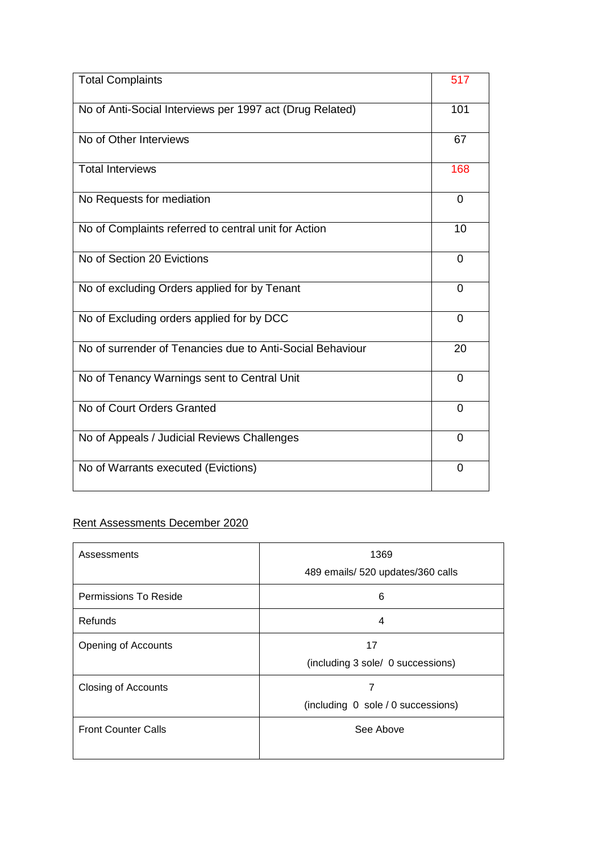| <b>Total Complaints</b>                                   | 517            |
|-----------------------------------------------------------|----------------|
| No of Anti-Social Interviews per 1997 act (Drug Related)  | 101            |
| No of Other Interviews                                    | 67             |
| <b>Total Interviews</b>                                   | 168            |
| No Requests for mediation                                 | 0              |
| No of Complaints referred to central unit for Action      | 10             |
| No of Section 20 Evictions                                | 0              |
| No of excluding Orders applied for by Tenant              | $\Omega$       |
| No of Excluding orders applied for by DCC                 | $\Omega$       |
| No of surrender of Tenancies due to Anti-Social Behaviour | 20             |
| No of Tenancy Warnings sent to Central Unit               | $\Omega$       |
| No of Court Orders Granted                                | $\Omega$       |
| No of Appeals / Judicial Reviews Challenges               | $\overline{0}$ |
| No of Warrants executed (Evictions)                       | 0              |

## Rent Assessments December 2020

| Assessments                | 1369<br>489 emails/ 520 updates/360 calls |  |  |
|----------------------------|-------------------------------------------|--|--|
| Permissions To Reside      | 6                                         |  |  |
| Refunds                    | 4                                         |  |  |
| Opening of Accounts        | 17<br>(including 3 sole/ 0 successions)   |  |  |
| <b>Closing of Accounts</b> | 7<br>(including 0 sole / 0 successions)   |  |  |
| <b>Front Counter Calls</b> | See Above                                 |  |  |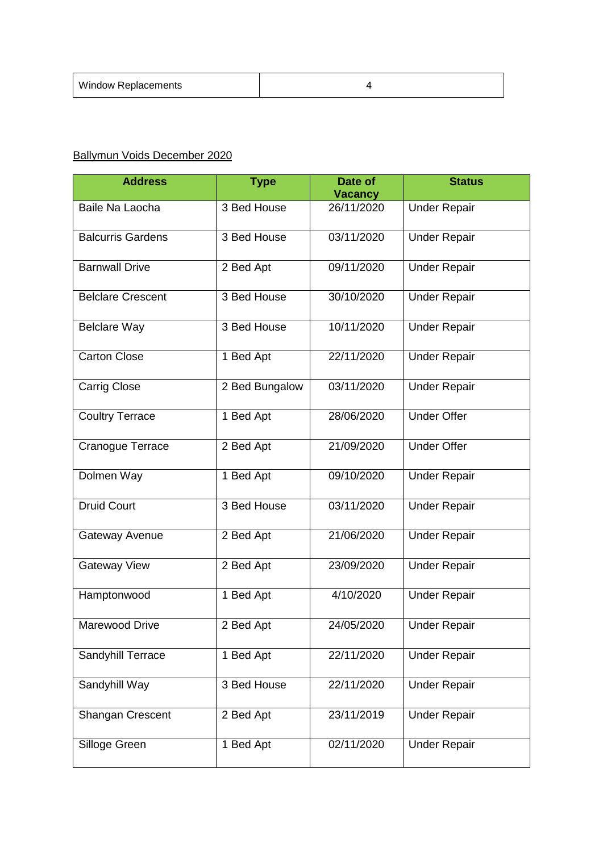| <b>Window Replacements</b> |  |
|----------------------------|--|
|----------------------------|--|

## Ballymun Voids December 2020

| <b>Address</b>           | <b>Type</b>    | Date of                      | <b>Status</b>       |
|--------------------------|----------------|------------------------------|---------------------|
| Baile Na Laocha          | 3 Bed House    | <b>Vacancy</b><br>26/11/2020 | <b>Under Repair</b> |
| <b>Balcurris Gardens</b> | 3 Bed House    | 03/11/2020                   | <b>Under Repair</b> |
| <b>Barnwall Drive</b>    | 2 Bed Apt      | 09/11/2020                   | <b>Under Repair</b> |
| <b>Belclare Crescent</b> | 3 Bed House    | 30/10/2020                   | <b>Under Repair</b> |
| <b>Belclare Way</b>      | 3 Bed House    | 10/11/2020                   | <b>Under Repair</b> |
| <b>Carton Close</b>      | 1 Bed Apt      | 22/11/2020                   | <b>Under Repair</b> |
| <b>Carrig Close</b>      | 2 Bed Bungalow | 03/11/2020                   | <b>Under Repair</b> |
| <b>Coultry Terrace</b>   | 1 Bed Apt      | 28/06/2020                   | <b>Under Offer</b>  |
| Cranogue Terrace         | 2 Bed Apt      | 21/09/2020                   | <b>Under Offer</b>  |
| Dolmen Way               | 1 Bed Apt      | 09/10/2020                   | <b>Under Repair</b> |
| <b>Druid Court</b>       | 3 Bed House    | 03/11/2020                   | <b>Under Repair</b> |
| Gateway Avenue           | 2 Bed Apt      | 21/06/2020                   | <b>Under Repair</b> |
| <b>Gateway View</b>      | 2 Bed Apt      | 23/09/2020                   | <b>Under Repair</b> |
| Hamptonwood              | 1 Bed Apt      | 4/10/2020                    | <b>Under Repair</b> |
| Marewood Drive           | 2 Bed Apt      | 24/05/2020                   | <b>Under Repair</b> |
| Sandyhill Terrace        | 1 Bed Apt      | 22/11/2020                   | <b>Under Repair</b> |
| Sandyhill Way            | 3 Bed House    | 22/11/2020                   | <b>Under Repair</b> |
| Shangan Crescent         | 2 Bed Apt      | 23/11/2019                   | <b>Under Repair</b> |
| Silloge Green            | 1 Bed Apt      | 02/11/2020                   | <b>Under Repair</b> |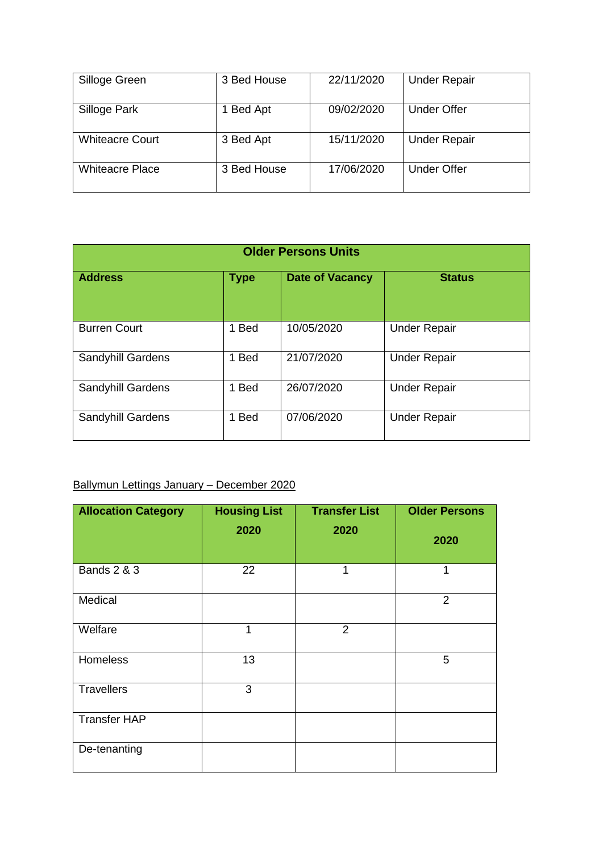| Silloge Green          | 3 Bed House    | 22/11/2020 | <b>Under Repair</b> |
|------------------------|----------------|------------|---------------------|
| Silloge Park           | <b>Bed Apt</b> | 09/02/2020 | <b>Under Offer</b>  |
| <b>Whiteacre Court</b> | 3 Bed Apt      | 15/11/2020 | <b>Under Repair</b> |
| <b>Whiteacre Place</b> | 3 Bed House    | 17/06/2020 | <b>Under Offer</b>  |

| <b>Older Persons Units</b> |                  |                        |                     |  |
|----------------------------|------------------|------------------------|---------------------|--|
| <b>Address</b>             | <b>Type</b>      | <b>Date of Vacancy</b> | <b>Status</b>       |  |
| <b>Burren Court</b>        | 1 Bed            | 10/05/2020             | <b>Under Repair</b> |  |
| Sandyhill Gardens          | <b>Bed</b><br>1. | 21/07/2020             | <b>Under Repair</b> |  |
| Sandyhill Gardens          | 1 Bed            | 26/07/2020             | <b>Under Repair</b> |  |
| Sandyhill Gardens          | <b>Bed</b><br>1. | 07/06/2020             | <b>Under Repair</b> |  |

# Ballymun Lettings January – December 2020

| <b>Allocation Category</b> | <b>Housing List</b> | <b>Transfer List</b> | <b>Older Persons</b> |
|----------------------------|---------------------|----------------------|----------------------|
|                            | 2020                | 2020                 | 2020                 |
| <b>Bands 2 &amp; 3</b>     | 22                  | 1                    | $\mathbf{1}$         |
| Medical                    |                     |                      | 2                    |
| Welfare                    | 1                   | $\overline{2}$       |                      |
| Homeless                   | 13                  |                      | 5                    |
| <b>Travellers</b>          | 3                   |                      |                      |
| <b>Transfer HAP</b>        |                     |                      |                      |
| De-tenanting               |                     |                      |                      |